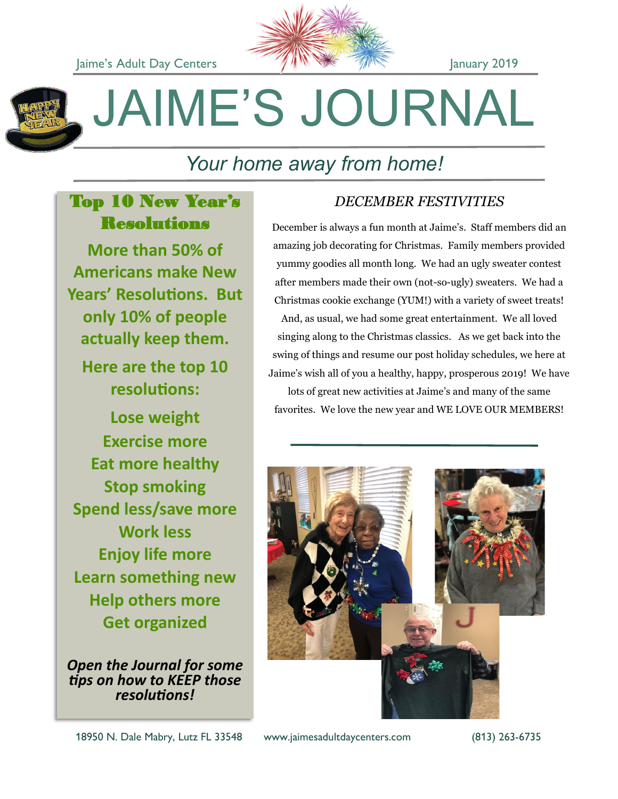



# JAIME'S JOURNAL

# *Your home away from home!*

# Top 10 New Year's **Resolutions**

**More than 50% of Americans make New Years' Resolutions. But only 10% of people actually keep them.** 

**Here are the top 10 resolutions:**

**Lose weight Exercise more Eat more healthy Stop smoking Spend less/save more Work less Enjoy life more Learn something new Help others more Get organized**

*Open the Journal for some tips on how to KEEP those resolutions!*

# *DECEMBER FESTIVITIES*

December is always a fun month at Jaime's. Staff members did an amazing job decorating for Christmas. Family members provided yummy goodies all month long. We had an ugly sweater contest after members made their own (not-so-ugly) sweaters. We had a Christmas cookie exchange (YUM!) with a variety of sweet treats!

And, as usual, we had some great entertainment. We all loved singing along to the Christmas classics. As we get back into the swing of things and resume our post holiday schedules, we here at Jaime's wish all of you a healthy, happy, prosperous 2019! We have

lots of great new activities at Jaime's and many of the same favorites. We love the new year and WE LOVE OUR MEMBERS!

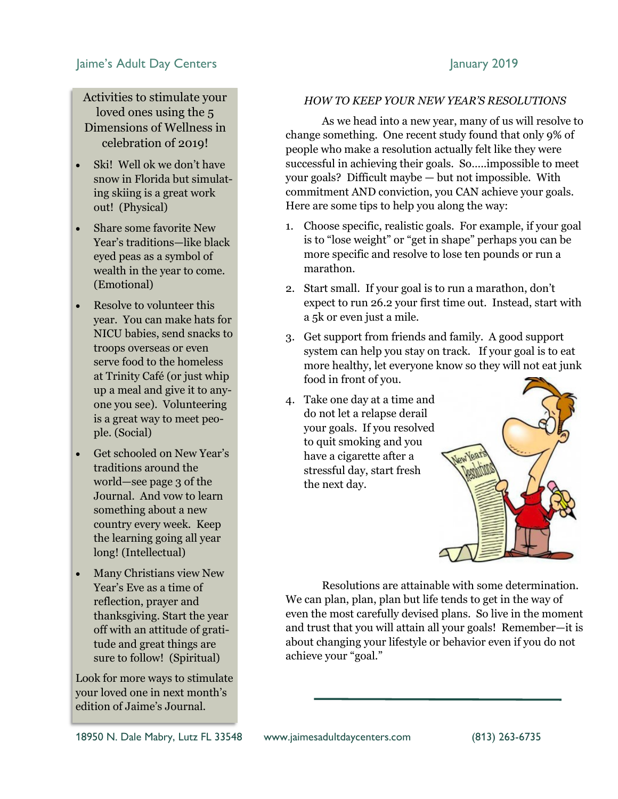# Jaime's Adult Day Centers **January 2019**

Activities to stimulate your loved ones using the 5 Dimensions of Wellness in celebration of 2019!

- Ski! Well ok we don't have snow in Florida but simulating skiing is a great work out! (Physical)
- Share some favorite New Year's traditions—like black eyed peas as a symbol of wealth in the year to come. (Emotional)
- Resolve to volunteer this year. You can make hats for NICU babies, send snacks to troops overseas or even serve food to the homeless at Trinity Café (or just whip up a meal and give it to anyone you see). Volunteering is a great way to meet people. (Social)
- Get schooled on New Year's traditions around the world—see page 3 of the Journal. And vow to learn something about a new country every week. Keep the learning going all year long! (Intellectual)
- Many Christians view New Year's Eve as a time of reflection, prayer and thanksgiving. Start the year off with an attitude of gratitude and great things are sure to follow! (Spiritual)

Look for more ways to stimulate your loved one in next month's edition of Jaime's Journal.

## *HOW TO KEEP YOUR NEW YEAR'S RESOLUTIONS*

As we head into a new year, many of us will resolve to change something. One recent study found that only 9% of people who make a resolution actually felt like they were successful in achieving their goals. So…..impossible to meet your goals? Difficult maybe — but not impossible. With commitment AND conviction, you CAN achieve your goals. Here are some tips to help you along the way:

- 1. Choose specific, realistic goals. For example, if your goal is to "lose weight" or "get in shape" perhaps you can be more specific and resolve to lose ten pounds or run a marathon.
- 2. Start small. If your goal is to run a marathon, don't expect to run 26.2 your first time out. Instead, start with a 5k or even just a mile.
- 3. Get support from friends and family. A good support system can help you stay on track. If your goal is to eat more healthy, let everyone know so they will not eat junk food in front of you.
- 4. Take one day at a time and do not let a relapse derail your goals. If you resolved to quit smoking and you have a cigarette after a stressful day, start fresh the next day.



Resolutions are attainable with some determination. We can plan, plan, plan but life tends to get in the way of even the most carefully devised plans. So live in the moment and trust that you will attain all your goals! Remember—it is about changing your lifestyle or behavior even if you do not achieve your "goal."

18950 N. Dale Mabry, Lutz FL 33548 www.jaimesadultdaycenters.com (813) 263-6735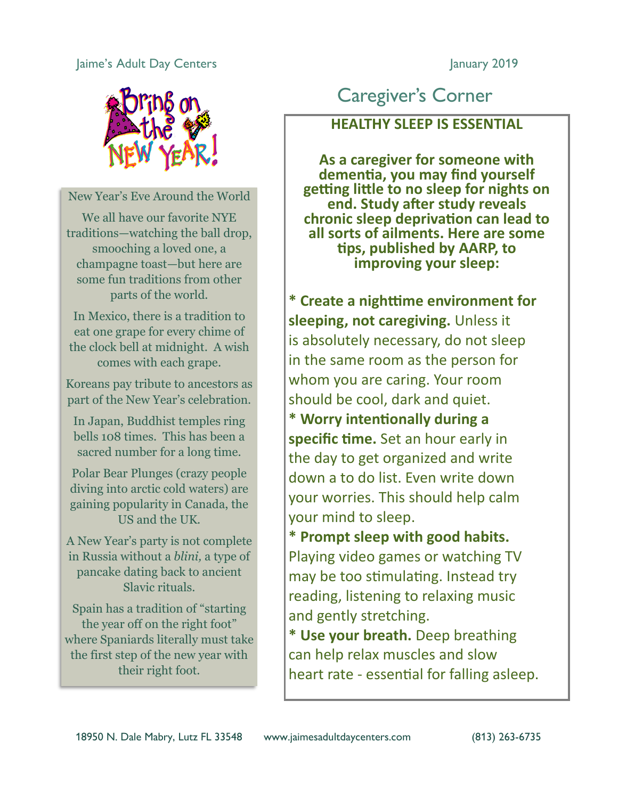# Jaime's Adult Day Centers **January 2019**



New Year's Eve Around the World

We all have our favorite NYE traditions—watching the ball drop, smooching a loved one, a champagne toast—but here are some fun traditions from other parts of the world.

In Mexico, there is a tradition to eat one grape for every chime of the clock bell at midnight. A wish comes with each grape.

Koreans pay tribute to ancestors as part of the New Year's celebration.

In Japan, Buddhist temples ring bells 108 times. This has been a sacred number for a long time.

Polar Bear Plunges (crazy people diving into arctic cold waters) are gaining popularity in Canada, the US and the UK.

A New Year's party is not complete in Russia without a *blini,* a type of pancake dating back to ancient Slavic rituals.

Spain has a tradition of "starting the year off on the right foot" where Spaniards literally must take the first step of the new year with their right foot.

# Caregiver's Corner

**HEALTHY SLEEP IS ESSENTIAL**

**As a caregiver for someone with dementia, you may find yourself getting little to no sleep for nights on end. Study after study reveals chronic sleep deprivation can lead to all sorts of ailments. Here are some tips, published by AARP, to improving your sleep:**

**\* Create a nighttime environment for sleeping, not caregiving.** Unless it is absolutely necessary, do not sleep in the same room as the person for whom you are caring. Your room should be cool, dark and quiet.

**\* Worry intentionally during a specific time.** Set an hour early in the day to get organized and write down a to do list. Even write down your worries. This should help calm your mind to sleep.

**\* Prompt sleep with good habits.** Playing video games or watching TV may be too stimulating. Instead try reading, listening to relaxing music and gently stretching.

**\* Use your breath.** Deep breathing can help relax muscles and slow heart rate - essential for falling asleep.